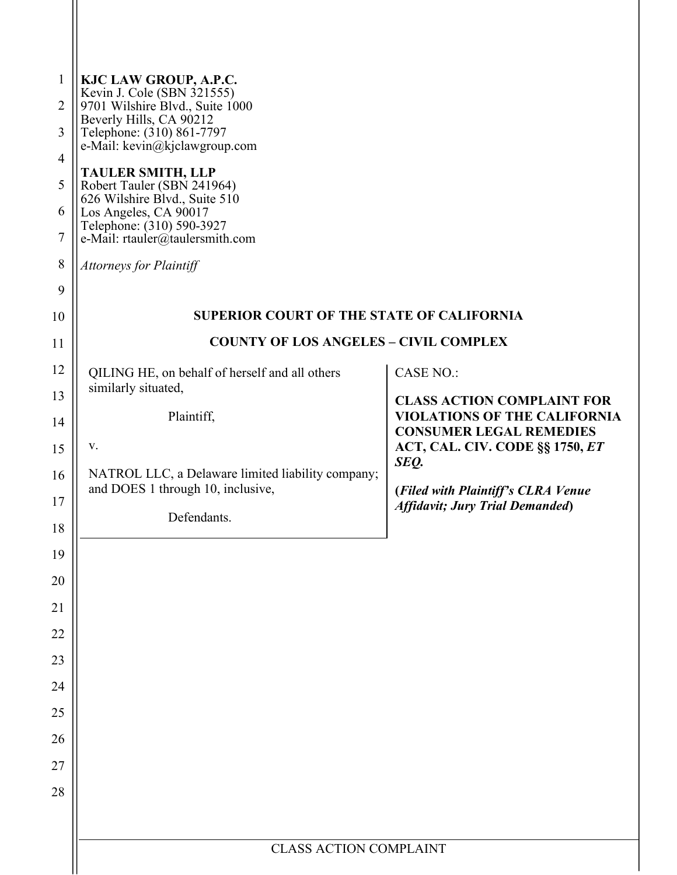| 1<br>2<br>3<br>$\overline{4}$<br>5<br>6<br>7<br>$\,8\,$<br>9 | KJC LAW GROUP, A.P.C.<br>Kevin J. Cole (SBN 321555)<br>9701 Wilshire Blvd., Suite 1000<br>Beverly Hills, CA 90212<br>Telephone: (310) 861-7797<br>e-Mail: kevin@kjclawgroup.com<br><b>TAULER SMITH, LLP</b><br>Robert Tauler (SBN 241964)<br>626 Wilshire Blvd., Suite 510<br>Los Angeles, CA 90017<br>Telephone: (310) 590-3927<br>e-Mail: rtauler@taulersmith.com<br><b>Attorneys for Plaintiff</b> |                                                                              |
|--------------------------------------------------------------|-------------------------------------------------------------------------------------------------------------------------------------------------------------------------------------------------------------------------------------------------------------------------------------------------------------------------------------------------------------------------------------------------------|------------------------------------------------------------------------------|
| 10                                                           | <b>SUPERIOR COURT OF THE STATE OF CALIFORNIA</b>                                                                                                                                                                                                                                                                                                                                                      |                                                                              |
| 11                                                           | <b>COUNTY OF LOS ANGELES - CIVIL COMPLEX</b>                                                                                                                                                                                                                                                                                                                                                          |                                                                              |
| 12                                                           | QILING HE, on behalf of herself and all others                                                                                                                                                                                                                                                                                                                                                        | <b>CASE NO.:</b>                                                             |
| 13                                                           | similarly situated,                                                                                                                                                                                                                                                                                                                                                                                   | <b>CLASS ACTION COMPLAINT FOR</b>                                            |
| 14                                                           | Plaintiff,                                                                                                                                                                                                                                                                                                                                                                                            | <b>VIOLATIONS OF THE CALIFORNIA</b><br><b>CONSUMER LEGAL REMEDIES</b>        |
| 15                                                           | V.                                                                                                                                                                                                                                                                                                                                                                                                    | ACT, CAL. CIV. CODE §§ 1750, ET                                              |
| 16                                                           | NATROL LLC, a Delaware limited liability company;                                                                                                                                                                                                                                                                                                                                                     | SEQ.                                                                         |
| 17                                                           | and DOES 1 through 10, inclusive,                                                                                                                                                                                                                                                                                                                                                                     | (Filed with Plaintiff's CLRA Venue<br><b>Affidavit; Jury Trial Demanded)</b> |
| 18                                                           | Defendants.                                                                                                                                                                                                                                                                                                                                                                                           |                                                                              |
| 19                                                           |                                                                                                                                                                                                                                                                                                                                                                                                       |                                                                              |
| 20                                                           |                                                                                                                                                                                                                                                                                                                                                                                                       |                                                                              |
| 21                                                           |                                                                                                                                                                                                                                                                                                                                                                                                       |                                                                              |
| 22                                                           |                                                                                                                                                                                                                                                                                                                                                                                                       |                                                                              |
| 23                                                           |                                                                                                                                                                                                                                                                                                                                                                                                       |                                                                              |
| 24                                                           |                                                                                                                                                                                                                                                                                                                                                                                                       |                                                                              |
| 25                                                           |                                                                                                                                                                                                                                                                                                                                                                                                       |                                                                              |
| 26                                                           |                                                                                                                                                                                                                                                                                                                                                                                                       |                                                                              |
| 27                                                           |                                                                                                                                                                                                                                                                                                                                                                                                       |                                                                              |
| 28                                                           |                                                                                                                                                                                                                                                                                                                                                                                                       |                                                                              |
|                                                              |                                                                                                                                                                                                                                                                                                                                                                                                       |                                                                              |
|                                                              | <b>CLASS ACTION COMPLAINT</b>                                                                                                                                                                                                                                                                                                                                                                         |                                                                              |
|                                                              |                                                                                                                                                                                                                                                                                                                                                                                                       |                                                                              |

 $\mathsf{I}\mathsf{I}$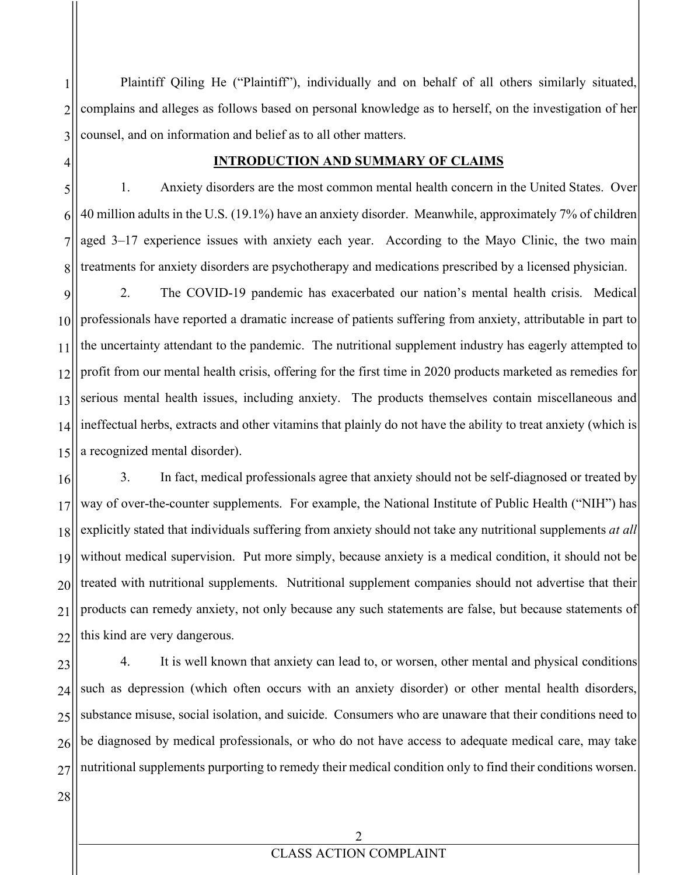1 2 3 Plaintiff Qiling He ("Plaintiff"), individually and on behalf of all others similarly situated, complains and alleges as follows based on personal knowledge as to herself, on the investigation of her counsel, and on information and belief as to all other matters.

#### **INTRODUCTION AND SUMMARY OF CLAIMS**

8 1. Anxiety disorders are the most common mental health concern in the United States. Over 40 million adults in the U.S. (19.1%) have an anxiety disorder. Meanwhile, approximately 7% of children aged 3–17 experience issues with anxiety each year. According to the Mayo Clinic, the two main treatments for anxiety disorders are psychotherapy and medications prescribed by a licensed physician.

9 10 11 12 13 14 15 2. The COVID-19 pandemic has exacerbated our nation's mental health crisis. Medical professionals have reported a dramatic increase of patients suffering from anxiety, attributable in part to the uncertainty attendant to the pandemic. The nutritional supplement industry has eagerly attempted to profit from our mental health crisis, offering for the first time in 2020 products marketed as remedies for serious mental health issues, including anxiety. The products themselves contain miscellaneous and ineffectual herbs, extracts and other vitamins that plainly do not have the ability to treat anxiety (which is a recognized mental disorder).

16 17 18 19 20 21 22 3. In fact, medical professionals agree that anxiety should not be self-diagnosed or treated by way of over-the-counter supplements. For example, the National Institute of Public Health ("NIH") has explicitly stated that individuals suffering from anxiety should not take any nutritional supplements *at all* without medical supervision. Put more simply, because anxiety is a medical condition, it should not be treated with nutritional supplements. Nutritional supplement companies should not advertise that their products can remedy anxiety, not only because any such statements are false, but because statements of this kind are very dangerous.

23 24 25 26 27 4. It is well known that anxiety can lead to, or worsen, other mental and physical conditions such as depression (which often occurs with an anxiety disorder) or other mental health disorders, substance misuse, social isolation, and suicide. Consumers who are unaware that their conditions need to be diagnosed by medical professionals, or who do not have access to adequate medical care, may take nutritional supplements purporting to remedy their medical condition only to find their conditions worsen.

28

4

5

6

7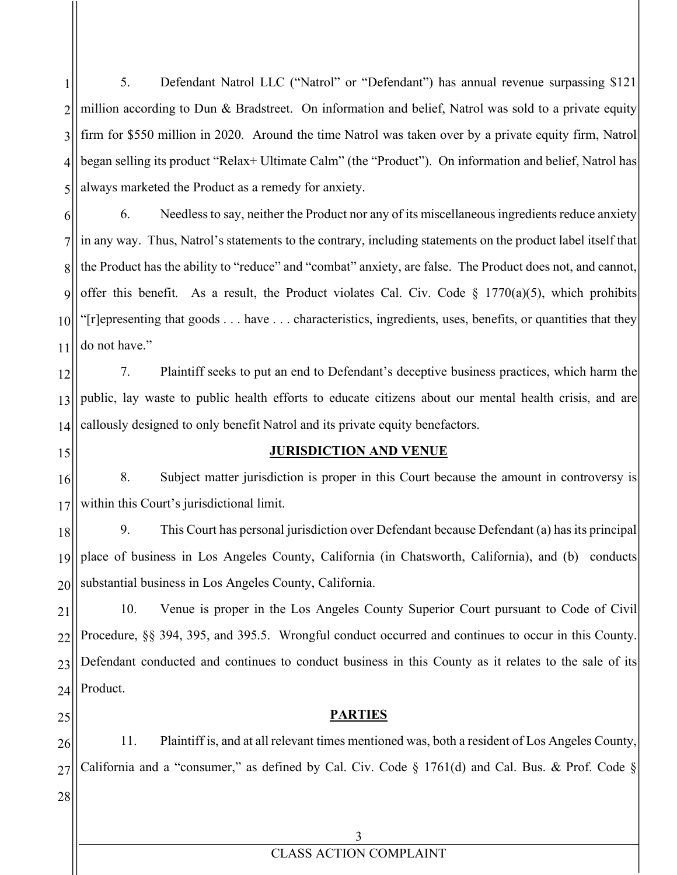1 2 3 4 5 5. Defendant Natrol LLC ("Natrol" or "Defendant") has annual revenue surpassing \$121 million according to Dun & Bradstreet. On information and belief, Natrol was sold to a private equity firm for \$550 million in 2020. Around the time Natrol was taken over by a private equity firm, Natrol began selling its product "Relax+ Ultimate Calm" (the "Product"). On information and belief, Natrol has always marketed the Product as a remedy for anxiety.

6 7 8 9 10 11 6. Needless to say, neither the Product nor any of its miscellaneous ingredients reduce anxiety in any way. Thus, Natrol's statements to the contrary, including statements on the product label itself that the Product has the ability to "reduce" and "combat" anxiety, are false. The Product does not, and cannot, offer this benefit. As a result, the Product violates Cal. Civ. Code  $\S$  1770(a)(5), which prohibits "[r]epresenting that goods . . . have . . . characteristics, ingredients, uses, benefits, or quantities that they do not have."

12 13 14 7. Plaintiff seeks to put an end to Defendant's deceptive business practices, which harm the public, lay waste to public health efforts to educate citizens about our mental health crisis, and are callously designed to only benefit Natrol and its private equity benefactors.

15

#### **JURISDICTION AND VENUE**

16 17 8. Subject matter jurisdiction is proper in this Court because the amount in controversy is within this Court's jurisdictional limit.

18 19 20 9. This Court has personal jurisdiction over Defendant because Defendant (a) has its principal place of business in Los Angeles County, California (in Chatsworth, California), and (b) conducts substantial business in Los Angeles County, California.

21 22 23 24 10. Venue is proper in the Los Angeles County Superior Court pursuant to Code of Civil Procedure, §§ 394, 395, and 395.5. Wrongful conduct occurred and continues to occur in this County. Defendant conducted and continues to conduct business in this County as it relates to the sale of its Product.

25

#### **PARTIES**

26 27 11. Plaintiff is, and at all relevant times mentioned was, both a resident of Los Angeles County, California and a "consumer," as defined by Cal. Civ. Code § 1761(d) and Cal. Bus. & Prof. Code §

28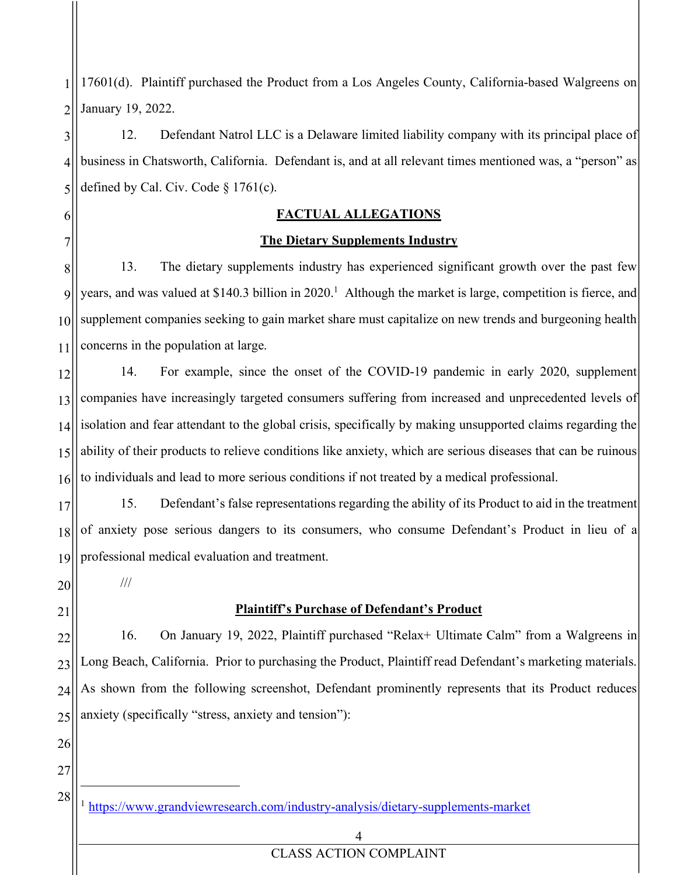1 2 17601(d). Plaintiff purchased the Product from a Los Angeles County, California-based Walgreens on January 19, 2022.

3 4 5 12. Defendant Natrol LLC is a Delaware limited liability company with its principal place of business in Chatsworth, California. Defendant is, and at all relevant times mentioned was, a "person" as defined by Cal. Civ. Code  $\S 1761(c)$ .

#### **FACTUAL ALLEGATIONS**

### **The Dietary Supplements Industry**

8 9 10 11 13. The dietary supplements industry has experienced significant growth over the past few years, and was valued at \$140.3 billion in 2020. <sup>1</sup> Although the market is large, competition is fierce, and supplement companies seeking to gain market share must capitalize on new trends and burgeoning health concerns in the population at large.

12 13 14 15 16 14. For example, since the onset of the COVID-19 pandemic in early 2020, supplement companies have increasingly targeted consumers suffering from increased and unprecedented levels of isolation and fear attendant to the global crisis, specifically by making unsupported claims regarding the ability of their products to relieve conditions like anxiety, which are serious diseases that can be ruinous to individuals and lead to more serious conditions if not treated by a medical professional.

17 18 19 15. Defendant's false representations regarding the ability of its Product to aid in the treatment of anxiety pose serious dangers to its consumers, who consume Defendant's Product in lieu of a professional medical evaluation and treatment.

20

///

21

6

7

## **Plaintiff's Purchase of Defendant's Product**

22 23 24 25 16. On January 19, 2022, Plaintiff purchased "Relax+ Ultimate Calm" from a Walgreens in Long Beach, California. Prior to purchasing the Product, Plaintiff read Defendant's marketing materials. As shown from the following screenshot, Defendant prominently represents that its Product reduces anxiety (specifically "stress, anxiety and tension"):

26 27

28

1

- <sup>1</sup> https://www.grandviewresearch.com/industry-analysis/dietary-supplements-market
	- 4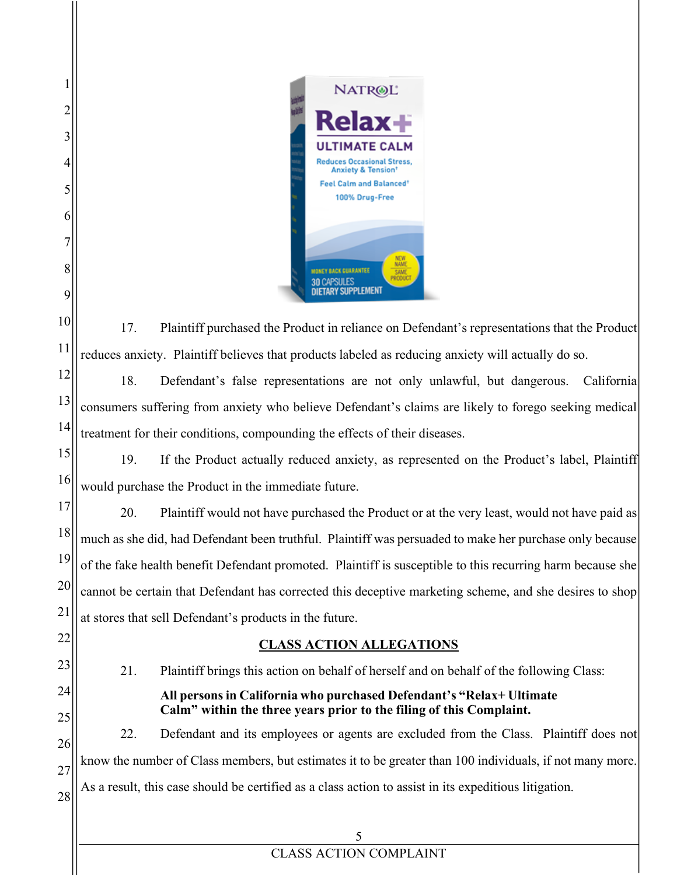

1

2

3

4

5

6

7

8

9

10

11

22

23

24

25

17. Plaintiff purchased the Product in reliance on Defendant's representations that the Product reduces anxiety. Plaintiff believes that products labeled as reducing anxiety will actually do so.

12 13 14 18. Defendant's false representations are not only unlawful, but dangerous. California consumers suffering from anxiety who believe Defendant's claims are likely to forego seeking medical treatment for their conditions, compounding the effects of their diseases.

15 16 19. If the Product actually reduced anxiety, as represented on the Product's label, Plaintiff would purchase the Product in the immediate future.

17 18 19 20 21 20. Plaintiff would not have purchased the Product or at the very least, would not have paid as much as she did, had Defendant been truthful. Plaintiff was persuaded to make her purchase only because of the fake health benefit Defendant promoted. Plaintiff is susceptible to this recurring harm because she cannot be certain that Defendant has corrected this deceptive marketing scheme, and she desires to shop at stores that sell Defendant's products in the future.

## **CLASS ACTION ALLEGATIONS**

21. Plaintiff brings this action on behalf of herself and on behalf of the following Class:

## **All persons in California who purchased Defendant's "Relax+ Ultimate Calm" within the three years prior to the filing of this Complaint.**

26 27 28 22. Defendant and its employees or agents are excluded from the Class. Plaintiff does not know the number of Class members, but estimates it to be greater than 100 individuals, if not many more. As a result, this case should be certified as a class action to assist in its expeditious litigation.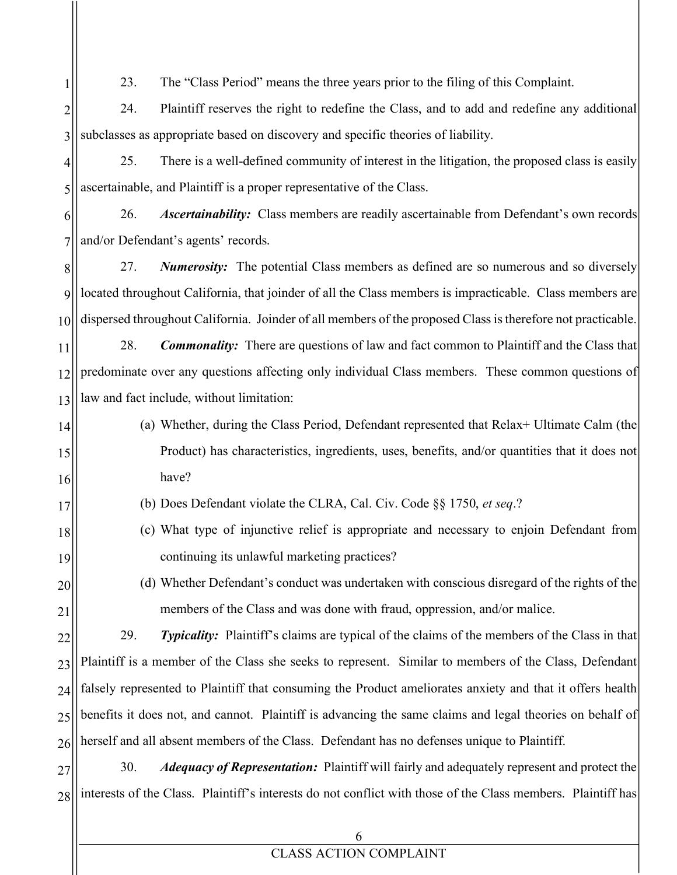23. The "Class Period" means the three years prior to the filing of this Complaint.

1

20

21

2 3 24. Plaintiff reserves the right to redefine the Class, and to add and redefine any additional subclasses as appropriate based on discovery and specific theories of liability.

4 5 25. There is a well-defined community of interest in the litigation, the proposed class is easily ascertainable, and Plaintiff is a proper representative of the Class.

6 7 26. *Ascertainability:* Class members are readily ascertainable from Defendant's own records and/or Defendant's agents' records.

8  $\overline{Q}$ 10 27. *Numerosity:* The potential Class members as defined are so numerous and so diversely located throughout California, that joinder of all the Class members is impracticable. Class members are dispersed throughout California. Joinder of all members of the proposed Class is therefore not practicable.

11 12 13 28. *Commonality:* There are questions of law and fact common to Plaintiff and the Class that predominate over any questions affecting only individual Class members. These common questions of law and fact include, without limitation:

- 14 15 16 (a) Whether, during the Class Period, Defendant represented that Relax+ Ultimate Calm (the Product) has characteristics, ingredients, uses, benefits, and/or quantities that it does not have?
- 17 (b) Does Defendant violate the CLRA, Cal. Civ. Code §§ 1750, *et seq*.?
- 18 19 (c) What type of injunctive relief is appropriate and necessary to enjoin Defendant from continuing its unlawful marketing practices?
	- (d) Whether Defendant's conduct was undertaken with conscious disregard of the rights of the members of the Class and was done with fraud, oppression, and/or malice.

22 23 24 25 26 29. *Typicality:* Plaintiff's claims are typical of the claims of the members of the Class in that Plaintiff is a member of the Class she seeks to represent. Similar to members of the Class, Defendant falsely represented to Plaintiff that consuming the Product ameliorates anxiety and that it offers health benefits it does not, and cannot. Plaintiff is advancing the same claims and legal theories on behalf of herself and all absent members of the Class. Defendant has no defenses unique to Plaintiff.

27 28 30. *Adequacy of Representation:* Plaintiff will fairly and adequately represent and protect the interests of the Class. Plaintiff's interests do not conflict with those of the Class members. Plaintiff has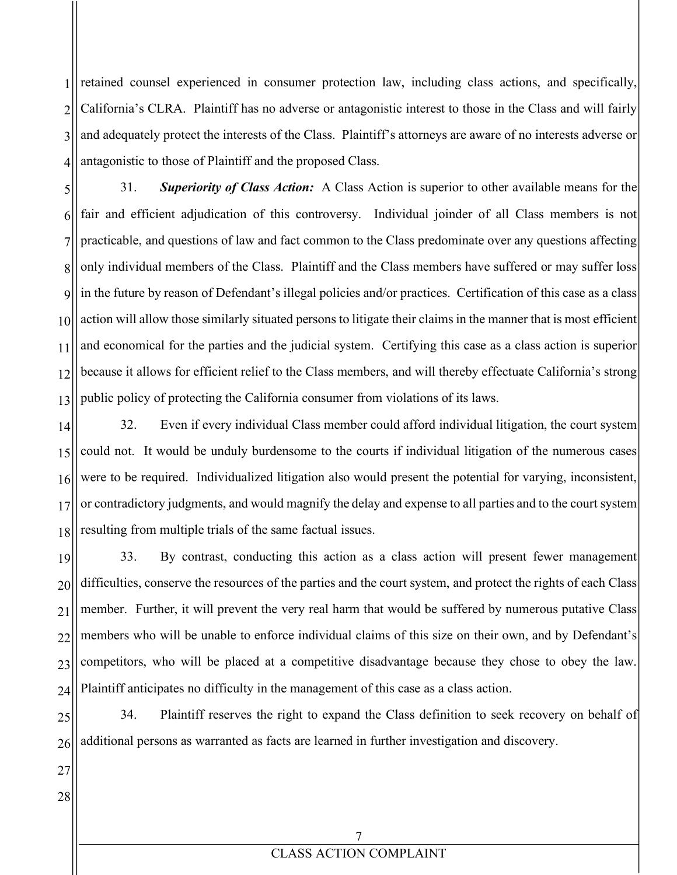1 2 3 4 retained counsel experienced in consumer protection law, including class actions, and specifically, California's CLRA. Plaintiff has no adverse or antagonistic interest to those in the Class and will fairly and adequately protect the interests of the Class. Plaintiff's attorneys are aware of no interests adverse or antagonistic to those of Plaintiff and the proposed Class.

5 6 7 8 9 10 11 12 13 31. *Superiority of Class Action:* A Class Action is superior to other available means for the fair and efficient adjudication of this controversy. Individual joinder of all Class members is not practicable, and questions of law and fact common to the Class predominate over any questions affecting only individual members of the Class. Plaintiff and the Class members have suffered or may suffer loss in the future by reason of Defendant's illegal policies and/or practices. Certification of this case as a class action will allow those similarly situated persons to litigate their claims in the manner that is most efficient and economical for the parties and the judicial system. Certifying this case as a class action is superior because it allows for efficient relief to the Class members, and will thereby effectuate California's strong public policy of protecting the California consumer from violations of its laws.

14 15 16 17 18 32. Even if every individual Class member could afford individual litigation, the court system could not. It would be unduly burdensome to the courts if individual litigation of the numerous cases were to be required. Individualized litigation also would present the potential for varying, inconsistent, or contradictory judgments, and would magnify the delay and expense to all parties and to the court system resulting from multiple trials of the same factual issues.

19 20 21 22 23 24 33. By contrast, conducting this action as a class action will present fewer management difficulties, conserve the resources of the parties and the court system, and protect the rights of each Class member. Further, it will prevent the very real harm that would be suffered by numerous putative Class members who will be unable to enforce individual claims of this size on their own, and by Defendant's competitors, who will be placed at a competitive disadvantage because they chose to obey the law. Plaintiff anticipates no difficulty in the management of this case as a class action.

25 26 34. Plaintiff reserves the right to expand the Class definition to seek recovery on behalf of additional persons as warranted as facts are learned in further investigation and discovery.

27 28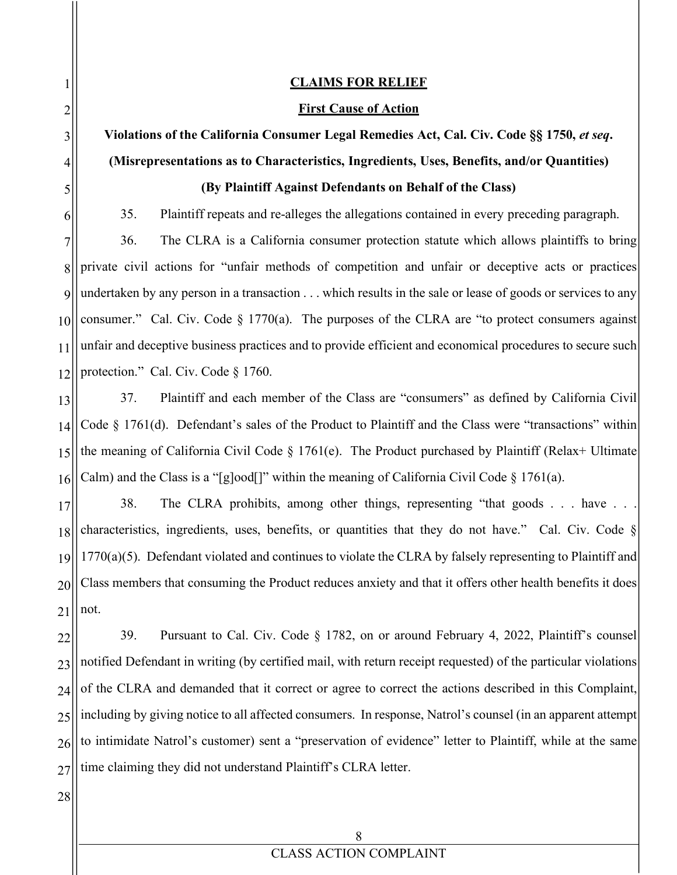#### **CLAIMS FOR RELIEF**

#### **First Cause of Action**

# **Violations of the California Consumer Legal Remedies Act, Cal. Civ. Code §§ 1750,** *et seq***. (Misrepresentations as to Characteristics, Ingredients, Uses, Benefits, and/or Quantities) (By Plaintiff Against Defendants on Behalf of the Class)**

35. Plaintiff repeats and re-alleges the allegations contained in every preceding paragraph.

36. The CLRA is a California consumer protection statute which allows plaintiffs to bring private civil actions for "unfair methods of competition and unfair or deceptive acts or practices undertaken by any person in a transaction . . . which results in the sale or lease of goods or services to any consumer." Cal. Civ. Code § 1770(a). The purposes of the CLRA are "to protect consumers against unfair and deceptive business practices and to provide efficient and economical procedures to secure such protection." Cal. Civ. Code § 1760.

13 14 15 16 37. Plaintiff and each member of the Class are "consumers" as defined by California Civil Code § 1761(d). Defendant's sales of the Product to Plaintiff and the Class were "transactions" within the meaning of California Civil Code § 1761(e). The Product purchased by Plaintiff (Relax+ Ultimate Calm) and the Class is a "[g]ood[]" within the meaning of California Civil Code  $\S$  1761(a).

17 18 19 20 21 38. The CLRA prohibits, among other things, representing "that goods . . . have . . . characteristics, ingredients, uses, benefits, or quantities that they do not have." Cal. Civ. Code § 1770(a)(5). Defendant violated and continues to violate the CLRA by falsely representing to Plaintiff and Class members that consuming the Product reduces anxiety and that it offers other health benefits it does not.

22 23 24 25 26 27 39. Pursuant to Cal. Civ. Code § 1782, on or around February 4, 2022, Plaintiff's counsel notified Defendant in writing (by certified mail, with return receipt requested) of the particular violations of the CLRA and demanded that it correct or agree to correct the actions described in this Complaint, including by giving notice to all affected consumers. In response, Natrol's counsel (in an apparent attempt to intimidate Natrol's customer) sent a "preservation of evidence" letter to Plaintiff, while at the same time claiming they did not understand Plaintiff's CLRA letter.

28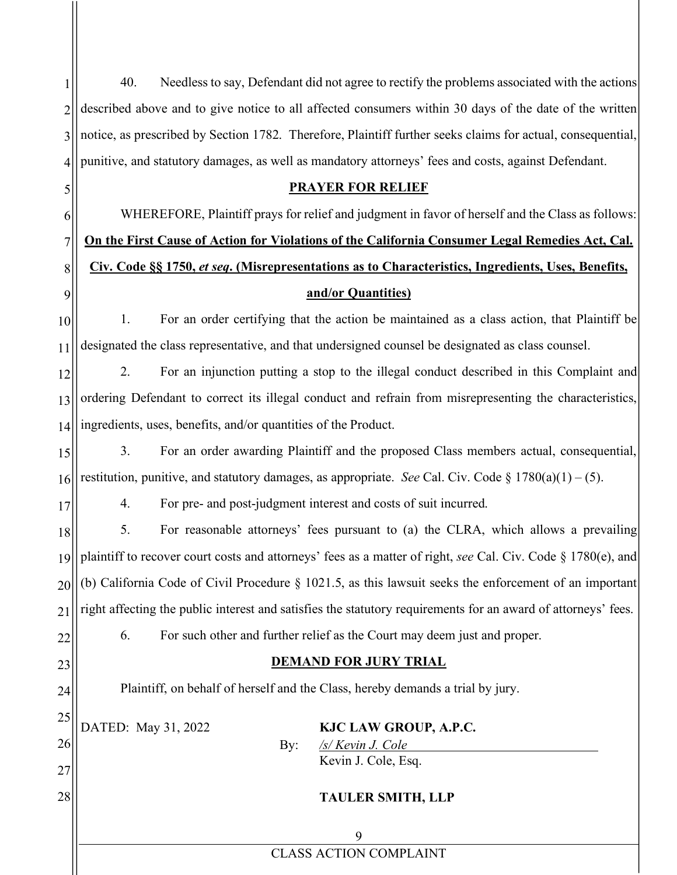1 2 3 4 40. Needless to say, Defendant did not agree to rectify the problems associated with the actions described above and to give notice to all affected consumers within 30 days of the date of the written notice, as prescribed by Section 1782. Therefore, Plaintiff further seeks claims for actual, consequential, punitive, and statutory damages, as well as mandatory attorneys' fees and costs, against Defendant.

#### **PRAYER FOR RELIEF**

WHEREFORE, Plaintiff prays for relief and judgment in favor of herself and the Class as follows: **On the First Cause of Action for Violations of the California Consumer Legal Remedies Act, Cal. Civ. Code §§ 1750,** *et seq***. (Misrepresentations as to Characteristics, Ingredients, Uses, Benefits, and/or Quantities)**

10 11 1. For an order certifying that the action be maintained as a class action, that Plaintiff be designated the class representative, and that undersigned counsel be designated as class counsel.

12 13 14 2. For an injunction putting a stop to the illegal conduct described in this Complaint and ordering Defendant to correct its illegal conduct and refrain from misrepresenting the characteristics, ingredients, uses, benefits, and/or quantities of the Product.

15 16 3. For an order awarding Plaintiff and the proposed Class members actual, consequential, restitution, punitive, and statutory damages, as appropriate. *See* Cal. Civ. Code  $\S 1780(a)(1) - (5)$ .

4. For pre- and post-judgment interest and costs of suit incurred.

18 19 20 21 22 5. For reasonable attorneys' fees pursuant to (a) the CLRA, which allows a prevailing plaintiff to recover court costs and attorneys' fees as a matter of right, *see* Cal. Civ. Code § 1780(e), and (b) California Code of Civil Procedure § 1021.5, as this lawsuit seeks the enforcement of an important right affecting the public interest and satisfies the statutory requirements for an award of attorneys' fees. 6. For such other and further relief as the Court may deem just and proper.

## **DEMAND FOR JURY TRIAL**

Plaintiff, on behalf of herself and the Class, hereby demands a trial by jury.

25 26

5

6

7

8

9

17

23

24

27

28

DATED: May 31, 2022 **KJC LAW GROUP, A.P.C.**

By: */s/ Kevin J. Cole* Kevin J. Cole, Esq.

## **TAULER SMITH, LLP**